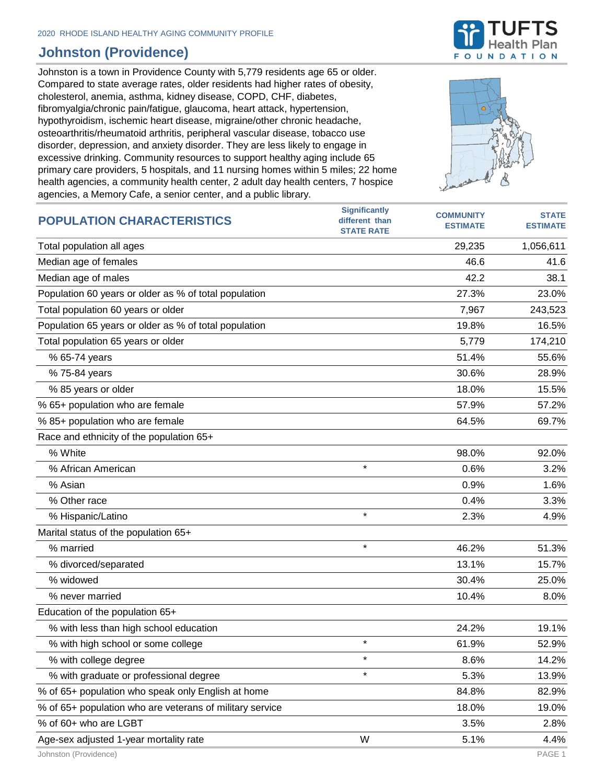## **Johnston (Providence)**

Johnston is a town in Providence County with 5,779 residents age 65 or older. Compared to state average rates, older residents had higher rates of obesity, cholesterol, anemia, asthma, kidney disease, COPD, CHF, diabetes, fibromyalgia/chronic pain/fatigue, glaucoma, heart attack, hypertension, hypothyroidism, ischemic heart disease, migraine/other chronic headache, osteoarthritis/rheumatoid arthritis, peripheral vascular disease, tobacco use disorder, depression, and anxiety disorder. They are less likely to engage in excessive drinking. Community resources to support healthy aging include 65 primary care providers, 5 hospitals, and 11 nursing homes within 5 miles; 22 home health agencies, a community health center, 2 adult day health centers, 7 hospice agencies, a Memory Cafe, a senior center, and a public library.



| <b>POPULATION CHARACTERISTICS</b>                        | <b>Significantly</b><br>different than | <b>COMMUNITY</b> | <b>STATE</b>    |
|----------------------------------------------------------|----------------------------------------|------------------|-----------------|
|                                                          | <b>STATE RATE</b>                      | <b>ESTIMATE</b>  | <b>ESTIMATE</b> |
| Total population all ages                                |                                        | 29,235           | 1,056,611       |
| Median age of females                                    |                                        | 46.6             | 41.6            |
| Median age of males                                      |                                        | 42.2             | 38.1            |
| Population 60 years or older as % of total population    |                                        | 27.3%            | 23.0%           |
| Total population 60 years or older                       |                                        | 7,967            | 243,523         |
| Population 65 years or older as % of total population    |                                        | 19.8%            | 16.5%           |
| Total population 65 years or older                       |                                        | 5,779            | 174,210         |
| % 65-74 years                                            |                                        | 51.4%            | 55.6%           |
| % 75-84 years                                            |                                        | 30.6%            | 28.9%           |
| % 85 years or older                                      |                                        | 18.0%            | 15.5%           |
| % 65+ population who are female                          |                                        | 57.9%            | 57.2%           |
| % 85+ population who are female                          |                                        | 64.5%            | 69.7%           |
| Race and ethnicity of the population 65+                 |                                        |                  |                 |
| % White                                                  |                                        | 98.0%            | 92.0%           |
| % African American                                       | $\star$                                | 0.6%             | 3.2%            |
| % Asian                                                  |                                        | 0.9%             | 1.6%            |
| % Other race                                             |                                        | 0.4%             | 3.3%            |
| % Hispanic/Latino                                        | $\star$                                | 2.3%             | 4.9%            |
| Marital status of the population 65+                     |                                        |                  |                 |
| % married                                                | $\star$                                | 46.2%            | 51.3%           |
| % divorced/separated                                     |                                        | 13.1%            | 15.7%           |
| % widowed                                                |                                        | 30.4%            | 25.0%           |
| % never married                                          |                                        | 10.4%            | 8.0%            |
| Education of the population 65+                          |                                        |                  |                 |
| % with less than high school education                   |                                        | 24.2%            | 19.1%           |
| % with high school or some college                       | $^\star$                               | 61.9%            | 52.9%           |
| % with college degree                                    | $\star$                                | 8.6%             | 14.2%           |
| % with graduate or professional degree                   | $\star$                                | 5.3%             | 13.9%           |
| % of 65+ population who speak only English at home       |                                        | 84.8%            | 82.9%           |
| % of 65+ population who are veterans of military service |                                        | 18.0%            | 19.0%           |
| % of 60+ who are LGBT                                    |                                        | 3.5%             | 2.8%            |
| Age-sex adjusted 1-year mortality rate                   | W                                      | 5.1%             | 4.4%            |

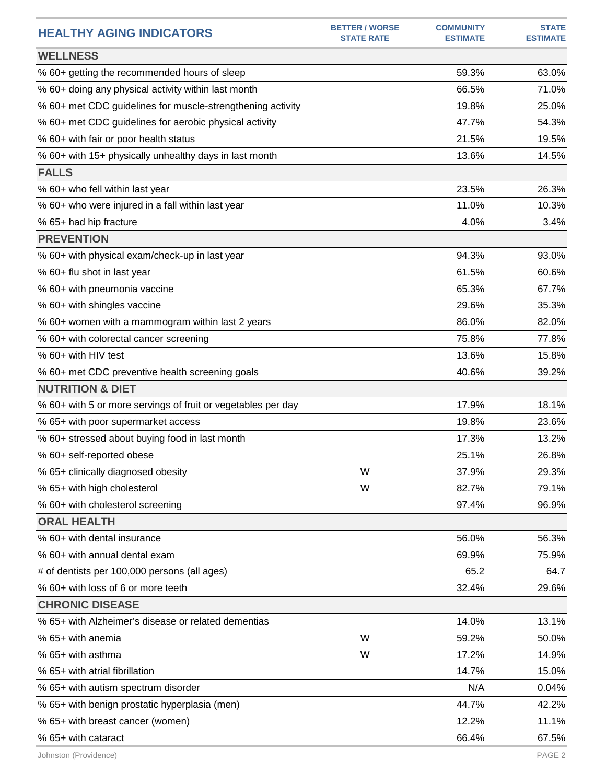| <b>HEALTHY AGING INDICATORS</b>                              | <b>BETTER / WORSE</b><br><b>STATE RATE</b> | <b>COMMUNITY</b><br><b>ESTIMATE</b> | <b>STATE</b><br><b>ESTIMATE</b> |
|--------------------------------------------------------------|--------------------------------------------|-------------------------------------|---------------------------------|
| <b>WELLNESS</b>                                              |                                            |                                     |                                 |
| % 60+ getting the recommended hours of sleep                 |                                            | 59.3%                               | 63.0%                           |
| % 60+ doing any physical activity within last month          |                                            | 66.5%                               | 71.0%                           |
| % 60+ met CDC guidelines for muscle-strengthening activity   |                                            | 19.8%                               | 25.0%                           |
| % 60+ met CDC guidelines for aerobic physical activity       |                                            | 47.7%                               | 54.3%                           |
| % 60+ with fair or poor health status                        |                                            | 21.5%                               | 19.5%                           |
| % 60+ with 15+ physically unhealthy days in last month       |                                            | 13.6%                               | 14.5%                           |
| <b>FALLS</b>                                                 |                                            |                                     |                                 |
| % 60+ who fell within last year                              |                                            | 23.5%                               | 26.3%                           |
| % 60+ who were injured in a fall within last year            |                                            | 11.0%                               | 10.3%                           |
| % 65+ had hip fracture                                       |                                            | 4.0%                                | 3.4%                            |
| <b>PREVENTION</b>                                            |                                            |                                     |                                 |
| % 60+ with physical exam/check-up in last year               |                                            | 94.3%                               | 93.0%                           |
| % 60+ flu shot in last year                                  |                                            | 61.5%                               | 60.6%                           |
| % 60+ with pneumonia vaccine                                 |                                            | 65.3%                               | 67.7%                           |
| % 60+ with shingles vaccine                                  |                                            | 29.6%                               | 35.3%                           |
| % 60+ women with a mammogram within last 2 years             |                                            | 86.0%                               | 82.0%                           |
| % 60+ with colorectal cancer screening                       |                                            | 75.8%                               | 77.8%                           |
| % 60+ with HIV test                                          |                                            | 13.6%                               | 15.8%                           |
| % 60+ met CDC preventive health screening goals              |                                            | 40.6%                               | 39.2%                           |
| <b>NUTRITION &amp; DIET</b>                                  |                                            |                                     |                                 |
| % 60+ with 5 or more servings of fruit or vegetables per day |                                            | 17.9%                               | 18.1%                           |
| % 65+ with poor supermarket access                           |                                            | 19.8%                               | 23.6%                           |
| % 60+ stressed about buying food in last month               |                                            | 17.3%                               | 13.2%                           |
| % 60+ self-reported obese                                    |                                            | 25.1%                               | 26.8%                           |
| % 65+ clinically diagnosed obesity                           | W                                          | 37.9%                               | 29.3%                           |
| % 65+ with high cholesterol                                  | W                                          | 82.7%                               | 79.1%                           |
| % 60+ with cholesterol screening                             |                                            | 97.4%                               | 96.9%                           |
| <b>ORAL HEALTH</b>                                           |                                            |                                     |                                 |
| % 60+ with dental insurance                                  |                                            | 56.0%                               | 56.3%                           |
| % 60+ with annual dental exam                                |                                            | 69.9%                               | 75.9%                           |
| # of dentists per 100,000 persons (all ages)                 |                                            | 65.2                                | 64.7                            |
| % 60+ with loss of 6 or more teeth                           |                                            | 32.4%                               | 29.6%                           |
| <b>CHRONIC DISEASE</b>                                       |                                            |                                     |                                 |
| % 65+ with Alzheimer's disease or related dementias          |                                            | 14.0%                               | 13.1%                           |
| % 65+ with anemia                                            | W                                          | 59.2%                               | 50.0%                           |
| % 65+ with asthma                                            | W                                          | 17.2%                               | 14.9%                           |
| % 65+ with atrial fibrillation                               |                                            | 14.7%                               | 15.0%                           |
| % 65+ with autism spectrum disorder                          |                                            | N/A                                 | 0.04%                           |
| % 65+ with benign prostatic hyperplasia (men)                |                                            | 44.7%                               | 42.2%                           |
| % 65+ with breast cancer (women)                             |                                            | 12.2%                               | 11.1%                           |
| % 65+ with cataract                                          |                                            | 66.4%                               | 67.5%                           |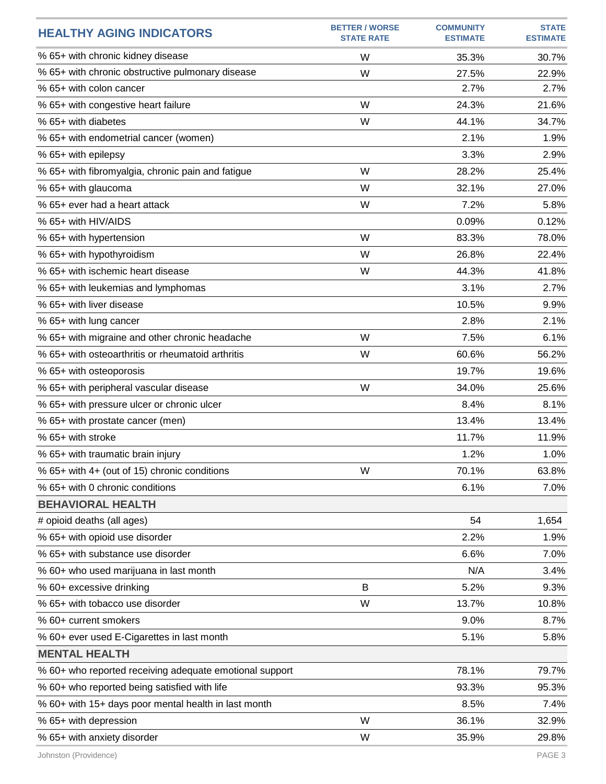| <b>HEALTHY AGING INDICATORS</b>                         | <b>BETTER / WORSE</b><br><b>STATE RATE</b> | <b>COMMUNITY</b><br><b>ESTIMATE</b> | <b>STATE</b><br><b>ESTIMATE</b> |
|---------------------------------------------------------|--------------------------------------------|-------------------------------------|---------------------------------|
| % 65+ with chronic kidney disease                       | W                                          | 35.3%                               | 30.7%                           |
| % 65+ with chronic obstructive pulmonary disease        | W                                          | 27.5%                               | 22.9%                           |
| % 65+ with colon cancer                                 |                                            | 2.7%                                | 2.7%                            |
| % 65+ with congestive heart failure                     | W                                          | 24.3%                               | 21.6%                           |
| % 65+ with diabetes                                     | W                                          | 44.1%                               | 34.7%                           |
| % 65+ with endometrial cancer (women)                   |                                            | 2.1%                                | 1.9%                            |
| % 65+ with epilepsy                                     |                                            | 3.3%                                | 2.9%                            |
| % 65+ with fibromyalgia, chronic pain and fatigue       | W                                          | 28.2%                               | 25.4%                           |
| % 65+ with glaucoma                                     | W                                          | 32.1%                               | 27.0%                           |
| % 65+ ever had a heart attack                           | W                                          | 7.2%                                | 5.8%                            |
| % 65+ with HIV/AIDS                                     |                                            | 0.09%                               | 0.12%                           |
| % 65+ with hypertension                                 | W                                          | 83.3%                               | 78.0%                           |
| % 65+ with hypothyroidism                               | W                                          | 26.8%                               | 22.4%                           |
| % 65+ with ischemic heart disease                       | W                                          | 44.3%                               | 41.8%                           |
| % 65+ with leukemias and lymphomas                      |                                            | 3.1%                                | 2.7%                            |
| % 65+ with liver disease                                |                                            | 10.5%                               | 9.9%                            |
| % 65+ with lung cancer                                  |                                            | 2.8%                                | 2.1%                            |
| % 65+ with migraine and other chronic headache          | W                                          | 7.5%                                | 6.1%                            |
| % 65+ with osteoarthritis or rheumatoid arthritis       | W                                          | 60.6%                               | 56.2%                           |
| % 65+ with osteoporosis                                 |                                            | 19.7%                               | 19.6%                           |
| % 65+ with peripheral vascular disease                  | W                                          | 34.0%                               | 25.6%                           |
| % 65+ with pressure ulcer or chronic ulcer              |                                            | 8.4%                                | 8.1%                            |
| % 65+ with prostate cancer (men)                        |                                            | 13.4%                               | 13.4%                           |
| % 65+ with stroke                                       |                                            | 11.7%                               | 11.9%                           |
| % 65+ with traumatic brain injury                       |                                            | 1.2%                                | 1.0%                            |
| % 65+ with 4+ (out of 15) chronic conditions            | W                                          | 70.1%                               | 63.8%                           |
| % 65+ with 0 chronic conditions                         |                                            | 6.1%                                | 7.0%                            |
| <b>BEHAVIORAL HEALTH</b>                                |                                            |                                     |                                 |
| # opioid deaths (all ages)                              |                                            | 54                                  | 1,654                           |
| % 65+ with opioid use disorder                          |                                            | 2.2%                                | 1.9%                            |
| % 65+ with substance use disorder                       |                                            | 6.6%                                | 7.0%                            |
| % 60+ who used marijuana in last month                  |                                            | N/A                                 | 3.4%                            |
| % 60+ excessive drinking                                | B                                          | 5.2%                                | 9.3%                            |
| % 65+ with tobacco use disorder                         | W                                          | 13.7%                               | 10.8%                           |
| % 60+ current smokers                                   |                                            | 9.0%                                | 8.7%                            |
| % 60+ ever used E-Cigarettes in last month              |                                            | 5.1%                                | 5.8%                            |
| <b>MENTAL HEALTH</b>                                    |                                            |                                     |                                 |
| % 60+ who reported receiving adequate emotional support |                                            | 78.1%                               | 79.7%                           |
| % 60+ who reported being satisfied with life            |                                            | 93.3%                               | 95.3%                           |
| % 60+ with 15+ days poor mental health in last month    |                                            | 8.5%                                | 7.4%                            |
| % 65+ with depression                                   | W                                          | 36.1%                               | 32.9%                           |
| % 65+ with anxiety disorder                             | W                                          | 35.9%                               | 29.8%                           |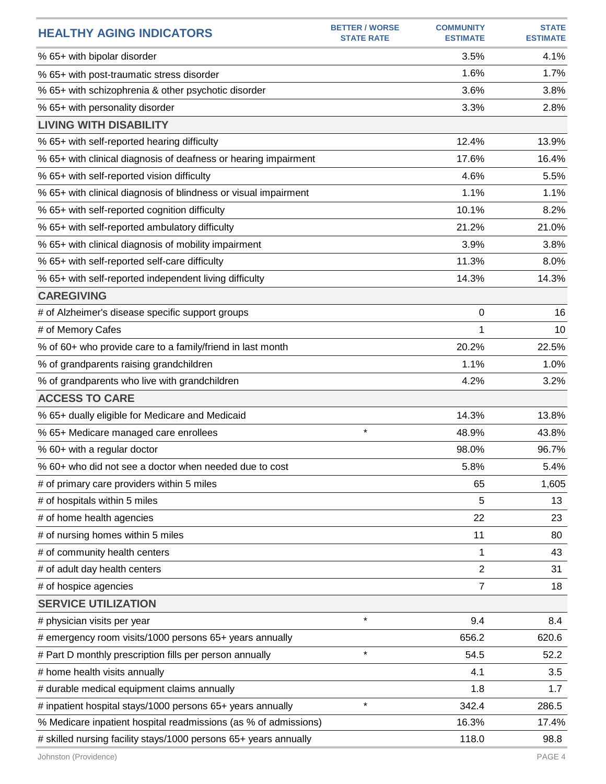| <b>HEALTHY AGING INDICATORS</b>                                  | <b>BETTER / WORSE</b><br><b>STATE RATE</b> | <b>COMMUNITY</b><br><b>ESTIMATE</b> | <b>STATE</b><br><b>ESTIMATE</b> |
|------------------------------------------------------------------|--------------------------------------------|-------------------------------------|---------------------------------|
| % 65+ with bipolar disorder                                      |                                            | 3.5%                                | 4.1%                            |
| % 65+ with post-traumatic stress disorder                        |                                            | 1.6%                                | 1.7%                            |
| % 65+ with schizophrenia & other psychotic disorder              |                                            | 3.6%                                | 3.8%                            |
| % 65+ with personality disorder                                  |                                            | 3.3%                                | 2.8%                            |
| <b>LIVING WITH DISABILITY</b>                                    |                                            |                                     |                                 |
| % 65+ with self-reported hearing difficulty                      |                                            | 12.4%                               | 13.9%                           |
| % 65+ with clinical diagnosis of deafness or hearing impairment  |                                            | 17.6%                               | 16.4%                           |
| % 65+ with self-reported vision difficulty                       |                                            | 4.6%                                | 5.5%                            |
| % 65+ with clinical diagnosis of blindness or visual impairment  |                                            | 1.1%                                | 1.1%                            |
| % 65+ with self-reported cognition difficulty                    |                                            | 10.1%                               | 8.2%                            |
| % 65+ with self-reported ambulatory difficulty                   |                                            | 21.2%                               | 21.0%                           |
| % 65+ with clinical diagnosis of mobility impairment             |                                            | 3.9%                                | 3.8%                            |
| % 65+ with self-reported self-care difficulty                    |                                            | 11.3%                               | 8.0%                            |
| % 65+ with self-reported independent living difficulty           |                                            | 14.3%                               | 14.3%                           |
| <b>CAREGIVING</b>                                                |                                            |                                     |                                 |
| # of Alzheimer's disease specific support groups                 |                                            | 0                                   | 16                              |
| # of Memory Cafes                                                |                                            | 1                                   | 10                              |
| % of 60+ who provide care to a family/friend in last month       |                                            | 20.2%                               | 22.5%                           |
| % of grandparents raising grandchildren                          |                                            | 1.1%                                | 1.0%                            |
| % of grandparents who live with grandchildren                    |                                            | 4.2%                                | 3.2%                            |
| <b>ACCESS TO CARE</b>                                            |                                            |                                     |                                 |
| % 65+ dually eligible for Medicare and Medicaid                  |                                            | 14.3%                               | 13.8%                           |
| % 65+ Medicare managed care enrollees                            | $\star$                                    | 48.9%                               | 43.8%                           |
| % 60+ with a regular doctor                                      |                                            | 98.0%                               | 96.7%                           |
| % 60+ who did not see a doctor when needed due to cost           |                                            | 5.8%                                | 5.4%                            |
| # of primary care providers within 5 miles                       |                                            | 65                                  | 1,605                           |
| # of hospitals within 5 miles                                    |                                            | 5                                   | 13                              |
| # of home health agencies                                        |                                            | 22                                  | 23                              |
| # of nursing homes within 5 miles                                |                                            | 11                                  | 80                              |
| # of community health centers                                    |                                            | 1                                   | 43                              |
| # of adult day health centers                                    |                                            | $\overline{2}$                      | 31                              |
| # of hospice agencies                                            |                                            | $\overline{7}$                      | 18                              |
| <b>SERVICE UTILIZATION</b>                                       |                                            |                                     |                                 |
| # physician visits per year                                      | $\star$                                    | 9.4                                 | 8.4                             |
| # emergency room visits/1000 persons 65+ years annually          |                                            | 656.2                               | 620.6                           |
| # Part D monthly prescription fills per person annually          | $\star$                                    | 54.5                                | 52.2                            |
| # home health visits annually                                    |                                            | 4.1                                 | 3.5                             |
| # durable medical equipment claims annually                      |                                            | 1.8                                 | 1.7                             |
| # inpatient hospital stays/1000 persons 65+ years annually       | $\star$                                    | 342.4                               | 286.5                           |
| % Medicare inpatient hospital readmissions (as % of admissions)  |                                            | 16.3%                               | 17.4%                           |
| # skilled nursing facility stays/1000 persons 65+ years annually |                                            | 118.0                               | 98.8                            |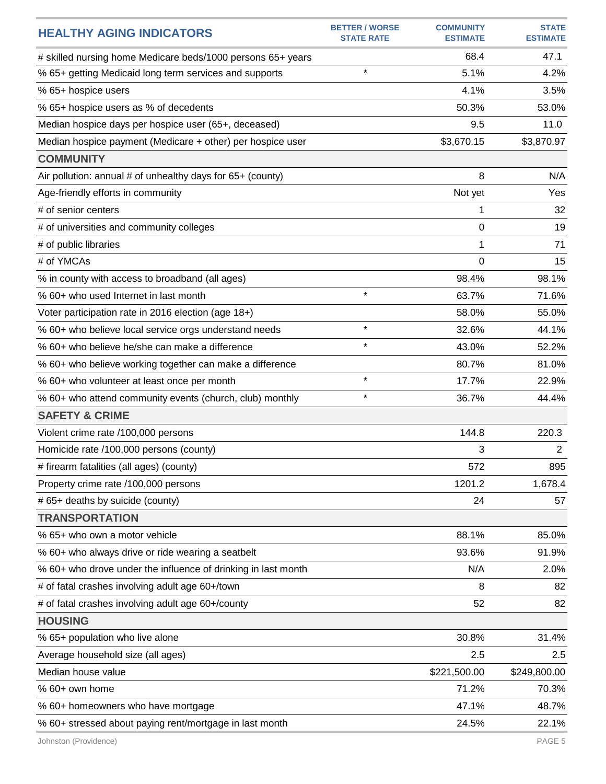| <b>HEALTHY AGING INDICATORS</b>                               | <b>BETTER / WORSE</b><br><b>STATE RATE</b> | <b>COMMUNITY</b><br><b>ESTIMATE</b> | <b>STATE</b><br><b>ESTIMATE</b> |
|---------------------------------------------------------------|--------------------------------------------|-------------------------------------|---------------------------------|
| # skilled nursing home Medicare beds/1000 persons 65+ years   |                                            | 68.4                                | 47.1                            |
| % 65+ getting Medicaid long term services and supports        | $\star$                                    | 5.1%                                | 4.2%                            |
| % 65+ hospice users                                           |                                            | 4.1%                                | 3.5%                            |
| % 65+ hospice users as % of decedents                         |                                            | 50.3%                               | 53.0%                           |
| Median hospice days per hospice user (65+, deceased)          |                                            | 9.5                                 | 11.0                            |
| Median hospice payment (Medicare + other) per hospice user    |                                            | \$3,670.15                          | \$3,870.97                      |
| <b>COMMUNITY</b>                                              |                                            |                                     |                                 |
| Air pollution: annual # of unhealthy days for 65+ (county)    |                                            | 8                                   | N/A                             |
| Age-friendly efforts in community                             |                                            | Not yet                             | Yes                             |
| # of senior centers                                           |                                            | 1                                   | 32                              |
| # of universities and community colleges                      |                                            | 0                                   | 19                              |
| # of public libraries                                         |                                            | 1                                   | 71                              |
| # of YMCAs                                                    |                                            | $\Omega$                            | 15                              |
| % in county with access to broadband (all ages)               |                                            | 98.4%                               | 98.1%                           |
| % 60+ who used Internet in last month                         | $\star$                                    | 63.7%                               | 71.6%                           |
| Voter participation rate in 2016 election (age 18+)           |                                            | 58.0%                               | 55.0%                           |
| % 60+ who believe local service orgs understand needs         | $\star$                                    | 32.6%                               | 44.1%                           |
| % 60+ who believe he/she can make a difference                | $\star$                                    | 43.0%                               | 52.2%                           |
| % 60+ who believe working together can make a difference      |                                            | 80.7%                               | 81.0%                           |
| % 60+ who volunteer at least once per month                   | $\star$                                    | 17.7%                               | 22.9%                           |
| % 60+ who attend community events (church, club) monthly      | $\star$                                    | 36.7%                               | 44.4%                           |
| <b>SAFETY &amp; CRIME</b>                                     |                                            |                                     |                                 |
| Violent crime rate /100,000 persons                           |                                            | 144.8                               | 220.3                           |
| Homicide rate /100,000 persons (county)                       |                                            | 3                                   | $\mathbf{2}$                    |
| # firearm fatalities (all ages) (county)                      |                                            | 572                                 | 895                             |
| Property crime rate /100,000 persons                          |                                            | 1201.2                              | 1,678.4                         |
| # 65+ deaths by suicide (county)                              |                                            | 24                                  | 57                              |
| <b>TRANSPORTATION</b>                                         |                                            |                                     |                                 |
| % 65+ who own a motor vehicle                                 |                                            | 88.1%                               | 85.0%                           |
| % 60+ who always drive or ride wearing a seatbelt             |                                            | 93.6%                               | 91.9%                           |
| % 60+ who drove under the influence of drinking in last month |                                            | N/A                                 | 2.0%                            |
| # of fatal crashes involving adult age 60+/town               |                                            | 8                                   | 82                              |
| # of fatal crashes involving adult age 60+/county             |                                            | 52                                  | 82                              |
| <b>HOUSING</b>                                                |                                            |                                     |                                 |
| % 65+ population who live alone                               |                                            | 30.8%                               | 31.4%                           |
| Average household size (all ages)                             |                                            | 2.5                                 | 2.5                             |
| Median house value                                            |                                            | \$221,500.00                        | \$249,800.00                    |
| % 60+ own home                                                |                                            | 71.2%                               | 70.3%                           |
| % 60+ homeowners who have mortgage                            |                                            | 47.1%                               | 48.7%                           |
| % 60+ stressed about paying rent/mortgage in last month       |                                            | 24.5%                               | 22.1%                           |